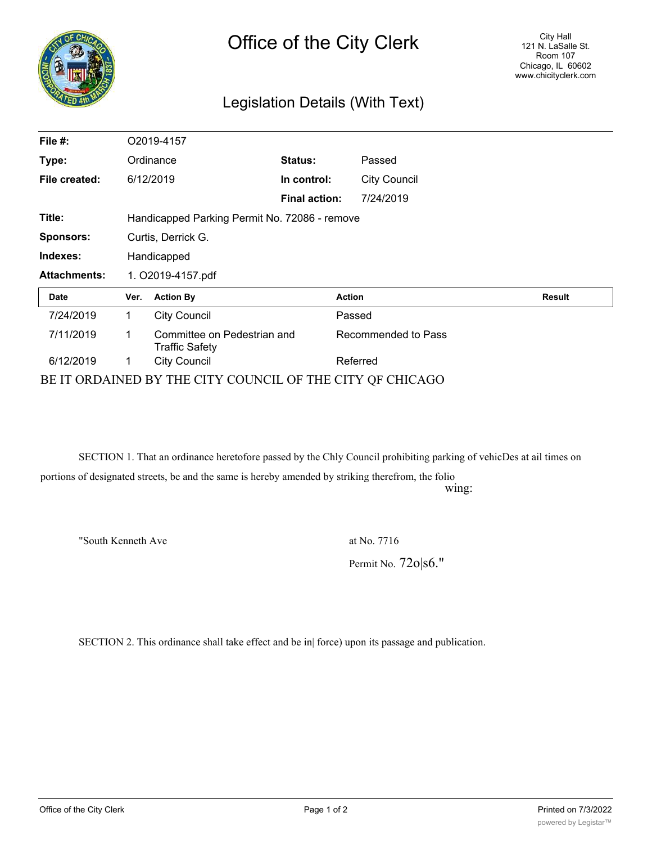| ô,<br>TIR |
|-----------|
|           |
|           |
|           |

## Legislation Details (With Text)

| File $#$ :                                                | O2019-4157                                    |                                               |                      |               |                     |               |  |
|-----------------------------------------------------------|-----------------------------------------------|-----------------------------------------------|----------------------|---------------|---------------------|---------------|--|
| Type:                                                     | Ordinance                                     |                                               | <b>Status:</b>       |               | Passed              |               |  |
| File created:                                             | 6/12/2019                                     |                                               | In control:          |               | <b>City Council</b> |               |  |
|                                                           |                                               |                                               | <b>Final action:</b> |               | 7/24/2019           |               |  |
| Title:                                                    | Handicapped Parking Permit No. 72086 - remove |                                               |                      |               |                     |               |  |
| <b>Sponsors:</b>                                          | Curtis, Derrick G.                            |                                               |                      |               |                     |               |  |
| Indexes:                                                  | Handicapped                                   |                                               |                      |               |                     |               |  |
| <b>Attachments:</b>                                       | 1. O2019-4157.pdf                             |                                               |                      |               |                     |               |  |
| <b>Date</b>                                               | Ver.                                          | <b>Action By</b>                              |                      | <b>Action</b> |                     | <b>Result</b> |  |
| 7/24/2019                                                 | 1.                                            | <b>City Council</b>                           |                      | Passed        |                     |               |  |
| 7/11/2019                                                 | 1                                             | Committee on Pedestrian and<br>Traffic Safety |                      |               | Recommended to Pass |               |  |
| 6/12/2019                                                 |                                               | <b>City Council</b>                           |                      | Referred      |                     |               |  |
| BE IT ORDAINED BY THE CITY COUNCIL OF THE CITY OF CHICAGO |                                               |                                               |                      |               |                     |               |  |

SECTION 1. That an ordinance heretofore passed by the Chly Council prohibiting parking of vehicDes at ail times on

portions of designated streets, be and the same is hereby amended by striking therefrom, the folio

wing:

"South Kenneth Ave at No. 7716

Permit No. 72o|s6."

SECTION 2. This ordinance shall take effect and be in| force) upon its passage and publication.